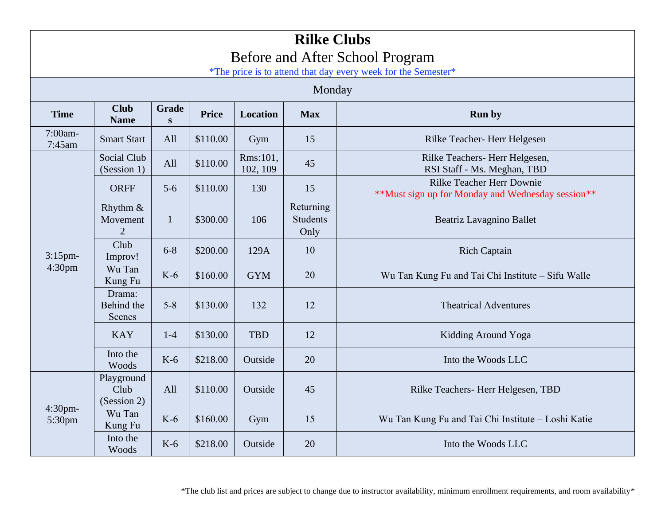| <b>Rilke Clubs</b><br>Before and After School Program<br>*The price is to attend that day every week for the Semester* |                                        |                           |              |                      |                                      |                                                                                       |  |  |  |  |
|------------------------------------------------------------------------------------------------------------------------|----------------------------------------|---------------------------|--------------|----------------------|--------------------------------------|---------------------------------------------------------------------------------------|--|--|--|--|
| Monday                                                                                                                 |                                        |                           |              |                      |                                      |                                                                                       |  |  |  |  |
| <b>Time</b>                                                                                                            | <b>Club</b><br><b>Name</b>             | <b>Grade</b><br>${\bf S}$ | <b>Price</b> | <b>Location</b>      | <b>Max</b><br><b>Run by</b>          |                                                                                       |  |  |  |  |
| 7:00am-<br>7:45am                                                                                                      | <b>Smart Start</b>                     | All                       | \$110.00     | Gym                  | 15                                   | Rilke Teacher-Herr Helgesen                                                           |  |  |  |  |
| $3:15$ pm-<br>4:30 <sub>pm</sub>                                                                                       | Social Club<br>(Session 1)             | All                       | \$110.00     | Rms:101,<br>102, 109 | 45                                   | Rilke Teachers-Herr Helgesen,<br>RSI Staff - Ms. Meghan, TBD                          |  |  |  |  |
|                                                                                                                        | <b>ORFF</b>                            | $5 - 6$                   | \$110.00     | 130                  | 15                                   | <b>Rilke Teacher Herr Downie</b><br>**Must sign up for Monday and Wednesday session** |  |  |  |  |
|                                                                                                                        | Rhythm &<br>Movement<br>$\overline{2}$ | $\mathbf{1}$              | \$300.00     | 106                  | Returning<br><b>Students</b><br>Only | Beatriz Lavagnino Ballet                                                              |  |  |  |  |
|                                                                                                                        | Club<br>Improv!                        | $6 - 8$                   | \$200.00     | 129A                 | 10                                   | <b>Rich Captain</b>                                                                   |  |  |  |  |
|                                                                                                                        | Wu Tan<br>Kung Fu                      | $K-6$                     | \$160.00     | <b>GYM</b>           | 20                                   | Wu Tan Kung Fu and Tai Chi Institute - Sifu Walle                                     |  |  |  |  |
|                                                                                                                        | Drama:<br>Behind the<br>Scenes         | $5 - 8$                   | \$130.00     | 132                  | 12                                   | <b>Theatrical Adventures</b>                                                          |  |  |  |  |
|                                                                                                                        | <b>KAY</b>                             | $1-4$                     | \$130.00     | <b>TBD</b>           | 12                                   | Kidding Around Yoga                                                                   |  |  |  |  |
|                                                                                                                        | Into the<br>Woods                      | $K-6$                     | \$218.00     | Outside              | 20                                   | Into the Woods LLC                                                                    |  |  |  |  |
| 4:30pm-<br>5:30pm                                                                                                      | Playground<br>Club<br>(Session 2)      | All                       | \$110.00     | Outside              | 45                                   | Rilke Teachers-Herr Helgesen, TBD                                                     |  |  |  |  |
|                                                                                                                        | Wu Tan<br>Kung Fu                      | $K-6$                     | \$160.00     | Gym                  | 15                                   | Wu Tan Kung Fu and Tai Chi Institute – Loshi Katie                                    |  |  |  |  |
|                                                                                                                        | Into the<br>Woods                      | $K-6$                     | \$218.00     | Outside              | 20                                   | Into the Woods LLC                                                                    |  |  |  |  |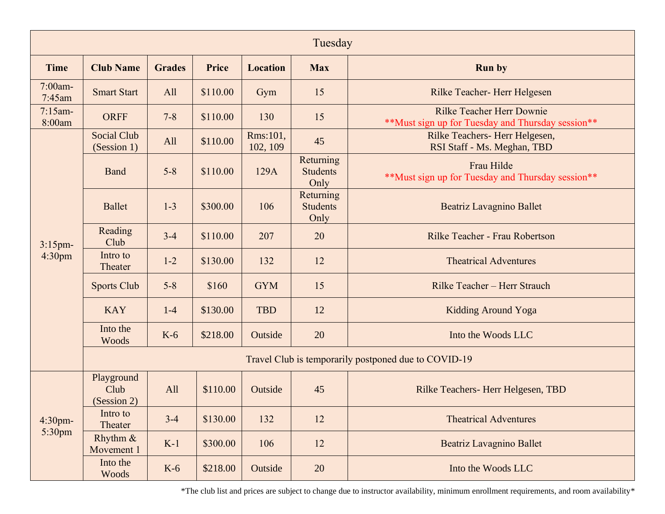|                                  | Tuesday                                              |               |          |                      |                                      |                                                                                       |  |  |  |  |
|----------------------------------|------------------------------------------------------|---------------|----------|----------------------|--------------------------------------|---------------------------------------------------------------------------------------|--|--|--|--|
| <b>Time</b>                      | <b>Club Name</b>                                     | <b>Grades</b> | Price    | <b>Location</b>      | <b>Max</b>                           | <b>Run by</b>                                                                         |  |  |  |  |
| $7:00$ am-<br>$7:45$ am          | <b>Smart Start</b>                                   | All           | \$110.00 | Gym                  | 15                                   | Rilke Teacher-Herr Helgesen                                                           |  |  |  |  |
| $7:15$ am-<br>8:00am             | <b>ORFF</b>                                          | $7 - 8$       | \$110.00 | 130                  | 15                                   | <b>Rilke Teacher Herr Downie</b><br>**Must sign up for Tuesday and Thursday session** |  |  |  |  |
| $3:15$ pm-<br>4:30pm             | <b>Social Club</b><br>(Session 1)                    | All           | \$110.00 | Rms:101,<br>102, 109 | 45                                   | Rilke Teachers-Herr Helgesen,<br>RSI Staff - Ms. Meghan, TBD                          |  |  |  |  |
|                                  | Band                                                 | $5 - 8$       | \$110.00 | 129A                 | Returning<br><b>Students</b><br>Only | Frau Hilde<br>** Must sign up for Tuesday and Thursday session**                      |  |  |  |  |
|                                  | <b>Ballet</b>                                        | $1 - 3$       | \$300.00 | 106                  | Returning<br><b>Students</b><br>Only | Beatriz Lavagnino Ballet                                                              |  |  |  |  |
|                                  | Reading<br>Club                                      | $3-4$         | \$110.00 | 207                  | 20                                   | Rilke Teacher - Frau Robertson                                                        |  |  |  |  |
|                                  | Intro to<br>Theater                                  | $1-2$         | \$130.00 | 132                  | 12                                   | <b>Theatrical Adventures</b>                                                          |  |  |  |  |
|                                  | <b>Sports Club</b>                                   | $5 - 8$       | \$160    | <b>GYM</b>           | 15                                   | Rilke Teacher - Herr Strauch                                                          |  |  |  |  |
|                                  | <b>KAY</b>                                           | $1-4$         | \$130.00 | <b>TBD</b>           | 12                                   | <b>Kidding Around Yoga</b>                                                            |  |  |  |  |
|                                  | Into the<br>Woods                                    | $K-6$         | \$218.00 | Outside              | 20                                   | Into the Woods LLC                                                                    |  |  |  |  |
|                                  | Travel Club is temporarily postponed due to COVID-19 |               |          |                      |                                      |                                                                                       |  |  |  |  |
| $4:30$ pm-<br>5:30 <sub>pm</sub> | Playground<br>Club<br>(Session 2)                    | All           | \$110.00 | Outside              | 45                                   | Rilke Teachers-Herr Helgesen, TBD                                                     |  |  |  |  |
|                                  | Intro to<br>Theater                                  | $3-4$         | \$130.00 | 132                  | 12                                   | <b>Theatrical Adventures</b>                                                          |  |  |  |  |
|                                  | Rhythm $\&$<br>Movement 1                            | $K-1$         | \$300.00 | 106                  | 12                                   | Beatriz Lavagnino Ballet                                                              |  |  |  |  |
|                                  | Into the<br>Woods                                    | $K-6$         | \$218.00 | Outside              | 20                                   | Into the Woods LLC                                                                    |  |  |  |  |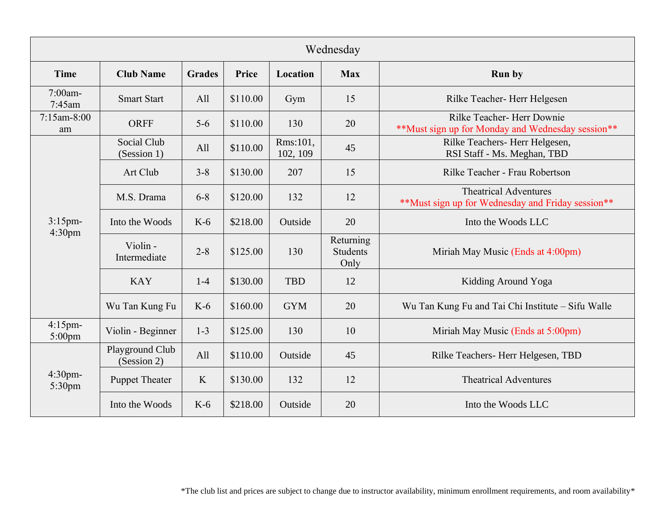| Wednesday                        |                                |               |          |                      |                                      |                                                                                   |  |  |  |
|----------------------------------|--------------------------------|---------------|----------|----------------------|--------------------------------------|-----------------------------------------------------------------------------------|--|--|--|
| <b>Time</b>                      | <b>Club Name</b>               | <b>Grades</b> | Price    | Location             | <b>Max</b>                           | <b>Run by</b>                                                                     |  |  |  |
| $7:00$ am-<br>$7:45$ am          | <b>Smart Start</b>             | All           | \$110.00 | Gym                  | 15                                   | Rilke Teacher-Herr Helgesen                                                       |  |  |  |
| $7:15$ am-8:00<br>am             | <b>ORFF</b>                    | $5-6$         | \$110.00 | 130                  | 20                                   | Rilke Teacher- Herr Downie<br>**Must sign up for Monday and Wednesday session**   |  |  |  |
|                                  | Social Club<br>(Session 1)     | All           | \$110.00 | Rms:101,<br>102, 109 | 45                                   | Rilke Teachers-Herr Helgesen,<br>RSI Staff - Ms. Meghan, TBD                      |  |  |  |
|                                  | Art Club                       | $3 - 8$       | \$130.00 | 207                  | 15                                   | Rilke Teacher - Frau Robertson                                                    |  |  |  |
|                                  | M.S. Drama                     | $6 - 8$       | \$120.00 | 132                  | 12                                   | <b>Theatrical Adventures</b><br>**Must sign up for Wednesday and Friday session** |  |  |  |
| $3:15$ pm-<br>4:30 <sub>pm</sub> | Into the Woods                 | $K-6$         | \$218.00 | Outside              | 20                                   | Into the Woods LLC                                                                |  |  |  |
|                                  | Violin -<br>Intermediate       | $2 - 8$       | \$125.00 | 130                  | Returning<br><b>Students</b><br>Only | Miriah May Music (Ends at 4:00pm)                                                 |  |  |  |
|                                  | <b>KAY</b>                     | $1 - 4$       | \$130.00 | <b>TBD</b>           | 12                                   | Kidding Around Yoga                                                               |  |  |  |
|                                  | Wu Tan Kung Fu                 | $K-6$         | \$160.00 | <b>GYM</b>           | 20                                   | Wu Tan Kung Fu and Tai Chi Institute - Sifu Walle                                 |  |  |  |
| $4:15$ pm-<br>$5:00$ pm          | Violin - Beginner              | $1 - 3$       | \$125.00 | 130                  | 10                                   | Miriah May Music (Ends at 5:00pm)                                                 |  |  |  |
| $4:30$ pm-<br>5:30pm             | Playground Club<br>(Session 2) | All           | \$110.00 | Outside              | 45                                   | Rilke Teachers-Herr Helgesen, TBD                                                 |  |  |  |
|                                  | <b>Puppet Theater</b>          | K             | \$130.00 | 132                  | 12                                   | <b>Theatrical Adventures</b>                                                      |  |  |  |
|                                  | Into the Woods                 | $K-6$         | \$218.00 | Outside              | 20                                   | Into the Woods LLC                                                                |  |  |  |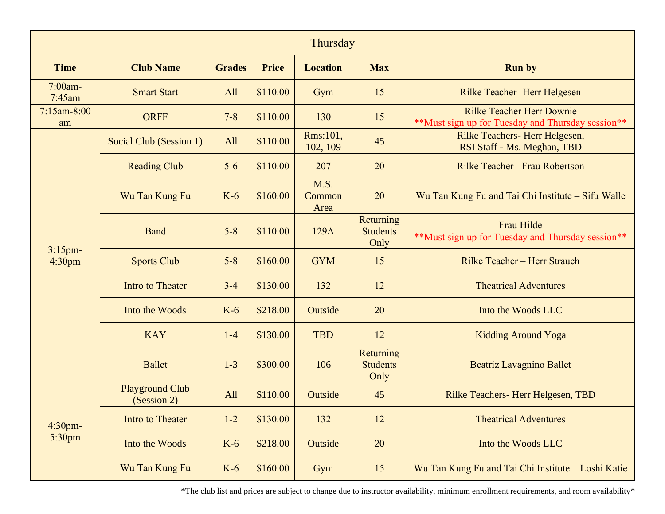| Thursday                         |                                       |               |              |                        |                                      |                                                                                       |  |  |  |  |
|----------------------------------|---------------------------------------|---------------|--------------|------------------------|--------------------------------------|---------------------------------------------------------------------------------------|--|--|--|--|
| <b>Time</b>                      | <b>Club Name</b>                      | <b>Grades</b> | <b>Price</b> | <b>Location</b>        | <b>Max</b>                           | <b>Run by</b>                                                                         |  |  |  |  |
| 7:00am-<br>$7:45$ am             | <b>Smart Start</b>                    | All           | \$110.00     | Gym                    | 15                                   | Rilke Teacher- Herr Helgesen                                                          |  |  |  |  |
| $7:15$ am-8:00<br>am             | <b>ORFF</b>                           | $7 - 8$       | \$110.00     | 130                    | 15                                   | <b>Rilke Teacher Herr Downie</b><br>**Must sign up for Tuesday and Thursday session** |  |  |  |  |
|                                  | Social Club (Session 1)               | <b>All</b>    | \$110.00     | Rms:101,<br>102, 109   | 45                                   | Rilke Teachers-Herr Helgesen,<br>RSI Staff - Ms. Meghan, TBD                          |  |  |  |  |
|                                  | <b>Reading Club</b>                   | $5-6$         | \$110.00     | 207                    | 20                                   | Rilke Teacher - Frau Robertson                                                        |  |  |  |  |
|                                  | Wu Tan Kung Fu                        | $K-6$         | \$160.00     | M.S.<br>Common<br>Area | 20                                   | Wu Tan Kung Fu and Tai Chi Institute – Sifu Walle                                     |  |  |  |  |
|                                  | <b>Band</b>                           | $5 - 8$       | \$110.00     | 129A                   | Returning<br><b>Students</b><br>Only | Frau Hilde<br>** Must sign up for Tuesday and Thursday session**                      |  |  |  |  |
| $3:15$ pm-<br>4:30 <sub>pm</sub> | <b>Sports Club</b>                    | $5 - 8$       | \$160.00     | <b>GYM</b>             | 15                                   | Rilke Teacher - Herr Strauch                                                          |  |  |  |  |
|                                  | <b>Intro to Theater</b>               | $3 - 4$       | \$130.00     | 132                    | 12                                   | <b>Theatrical Adventures</b>                                                          |  |  |  |  |
|                                  | Into the Woods                        | $K-6$         | \$218.00     | Outside                | 20                                   | Into the Woods LLC                                                                    |  |  |  |  |
|                                  | <b>KAY</b>                            | $1-4$         | \$130.00     | <b>TBD</b>             | 12                                   | <b>Kidding Around Yoga</b>                                                            |  |  |  |  |
|                                  | <b>Ballet</b>                         | $1 - 3$       | \$300.00     | 106                    | Returning<br><b>Students</b><br>Only | <b>Beatriz Lavagnino Ballet</b>                                                       |  |  |  |  |
|                                  | <b>Playground Club</b><br>(Session 2) | <b>All</b>    | \$110.00     | Outside                | 45                                   | Rilke Teachers-Herr Helgesen, TBD                                                     |  |  |  |  |
| 4:30pm-                          | Intro to Theater                      | $1 - 2$       | \$130.00     | 132                    | 12                                   | <b>Theatrical Adventures</b>                                                          |  |  |  |  |
| 5:30pm                           | Into the Woods                        | $K-6$         | \$218.00     | Outside                | 20                                   | Into the Woods LLC                                                                    |  |  |  |  |
|                                  | Wu Tan Kung Fu                        | $K-6$         | \$160.00     | Gym                    | 15                                   | Wu Tan Kung Fu and Tai Chi Institute - Loshi Katie                                    |  |  |  |  |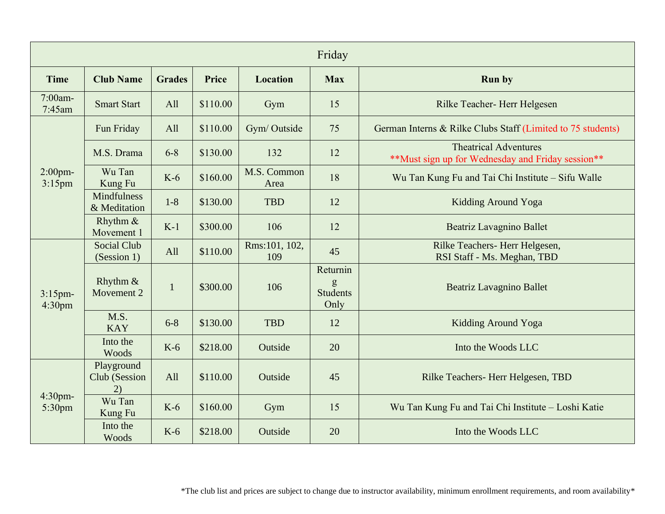| Friday                           |                                    |               |              |                      |                                          |                                                                                   |  |  |  |
|----------------------------------|------------------------------------|---------------|--------------|----------------------|------------------------------------------|-----------------------------------------------------------------------------------|--|--|--|
| <b>Time</b>                      | <b>Club Name</b>                   | <b>Grades</b> | <b>Price</b> | <b>Location</b>      | <b>Max</b>                               | <b>Run by</b>                                                                     |  |  |  |
| 7:00am-<br>7:45am                | <b>Smart Start</b>                 | All           | \$110.00     | Gym                  | 15                                       | Rilke Teacher- Herr Helgesen                                                      |  |  |  |
| $2:00$ pm-<br>$3:15$ pm          | Fun Friday                         | All           | \$110.00     | Gym/Outside          | 75                                       | German Interns & Rilke Clubs Staff (Limited to 75 students)                       |  |  |  |
|                                  | M.S. Drama                         | $6 - 8$       | \$130.00     | 132                  | 12                                       | <b>Theatrical Adventures</b><br>**Must sign up for Wednesday and Friday session** |  |  |  |
|                                  | Wu Tan<br>Kung Fu                  | $K-6$         | \$160.00     | M.S. Common<br>Area  | 18                                       | Wu Tan Kung Fu and Tai Chi Institute - Sifu Walle                                 |  |  |  |
|                                  | <b>Mindfulness</b><br>& Meditation | $1 - 8$       | \$130.00     | <b>TBD</b>           | 12                                       | Kidding Around Yoga                                                               |  |  |  |
|                                  | Rhythm &<br>Movement 1             | $K-1$         | \$300.00     | 106                  | 12                                       | Beatriz Lavagnino Ballet                                                          |  |  |  |
| $3:15$ pm-<br>4:30 <sub>pm</sub> | <b>Social Club</b><br>(Session 1)  | All           | \$110.00     | Rms:101, 102,<br>109 | 45                                       | Rilke Teachers- Herr Helgesen,<br>RSI Staff - Ms. Meghan, TBD                     |  |  |  |
|                                  | Rhythm $\&$<br>Movement 2          | $\mathbf{1}$  | \$300.00     | 106                  | Returnin<br>g<br><b>Students</b><br>Only | <b>Beatriz Lavagnino Ballet</b>                                                   |  |  |  |
|                                  | M.S.<br><b>KAY</b>                 | $6 - 8$       | \$130.00     | <b>TBD</b>           | 12                                       | Kidding Around Yoga                                                               |  |  |  |
|                                  | Into the<br>Woods                  | $K-6$         | \$218.00     | Outside              | 20                                       | Into the Woods LLC                                                                |  |  |  |
| 4:30pm-<br>5:30pm                | Playground<br>Club (Session<br>2)  | All           | \$110.00     | Outside              | 45                                       | Rilke Teachers-Herr Helgesen, TBD                                                 |  |  |  |
|                                  | Wu Tan<br>Kung Fu                  | $K-6$         | \$160.00     | Gym                  | 15                                       | Wu Tan Kung Fu and Tai Chi Institute - Loshi Katie                                |  |  |  |
|                                  | Into the<br>Woods                  | $K-6$         | \$218.00     | Outside              | 20                                       | Into the Woods LLC                                                                |  |  |  |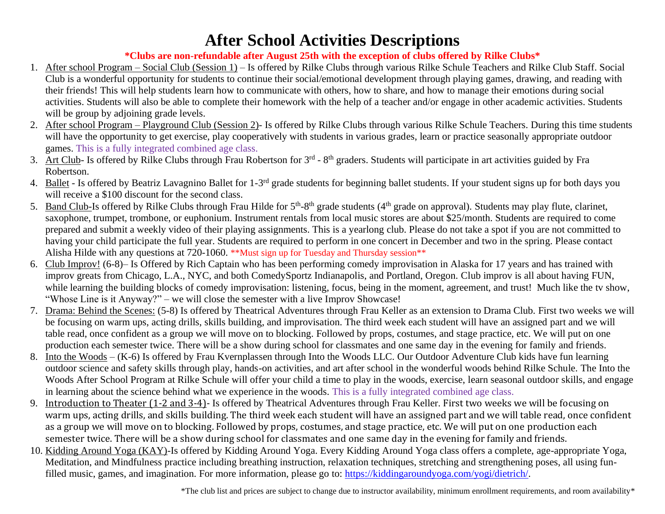## **After School Activities Descriptions**

## **\*Clubs are non-refundable after August 25th with the exception of clubs offered by Rilke Clubs\***

- 1. After school Program Social Club (Session 1) Is offered by Rilke Clubs through various Rilke Schule Teachers and Rilke Club Staff. Social Club is a wonderful opportunity for students to continue their social/emotional development through playing games, drawing, and reading with their friends! This will help students learn how to communicate with others, how to share, and how to manage their emotions during social activities. Students will also be able to complete their homework with the help of a teacher and/or engage in other academic activities. Students will be group by adjoining grade levels.
- 2. After school Program Playground Club (Session 2)- Is offered by Rilke Clubs through various Rilke Schule Teachers. During this time students will have the opportunity to get exercise, play cooperatively with students in various grades, learn or practice seasonally appropriate outdoor games. This is a fully integrated combined age class.
- 3. Art Club- Is offered by Rilke Clubs through Frau Robertson for 3<sup>rd</sup> 8<sup>th</sup> graders. Students will participate in art activities guided by Fra Robertson.
- 4. Ballet Is offered by Beatriz Lavagnino Ballet for 1-3<sup>rd</sup> grade students for beginning ballet students. If your student signs up for both days you will receive a \$100 discount for the second class.
- 5. Band Club-Is offered by Rilke Clubs through Frau Hilde for 5<sup>th</sup>-8<sup>th</sup> grade students (4<sup>th</sup> grade on approval). Students may play flute, clarinet, saxophone, trumpet, trombone, or euphonium. Instrument rentals from local music stores are about \$25/month. Students are required to come prepared and submit a weekly video of their playing assignments. This is a yearlong club. Please do not take a spot if you are not committed to having your child participate the full year. Students are required to perform in one concert in December and two in the spring. Please contact Alisha Hilde with any questions at 720-1060. \*\*Must sign up for Tuesday and Thursday session\*\*
- 6. Club Improv! (6-8)– Is Offered by Rich Captain who has been performing comedy improvisation in Alaska for 17 years and has trained with improv greats from Chicago, L.A., NYC, and both ComedySportz Indianapolis, and Portland, Oregon. Club improv is all about having FUN, while learning the building blocks of comedy improvisation: listening, focus, being in the moment, agreement, and trust! Much like the tv show, "Whose Line is it Anyway?" – we will close the semester with a live Improv Showcase!
- 7. Drama: Behind the Scenes: (5-8) Is offered by Theatrical Adventures through Frau Keller as an extension to Drama Club. First two weeks we will be focusing on warm ups, acting drills, skills building, and improvisation. The third week each student will have an assigned part and we will table read, once confident as a group we will move on to blocking. Followed by props, costumes, and stage practice, etc. We will put on one production each semester twice. There will be a show during school for classmates and one same day in the evening for family and friends.
- 8. Into the Woods (K-6) Is offered by Frau Kvernplassen through Into the Woods LLC. Our Outdoor Adventure Club kids have fun learning outdoor science and safety skills through play, hands-on activities, and art after school in the wonderful woods behind Rilke Schule. The Into the Woods After School Program at Rilke Schule will offer your child a time to play in the woods, exercise, learn seasonal outdoor skills, and engage in learning about the science behind what we experience in the woods. This is a fully integrated combined age class.
- 9. Introduction to Theater (1-2 and 3-4)- Is offered by Theatrical Adventures through Frau Keller. First two weeks we will be focusing on warm ups, acting drills, and skills building. The third week each student will have an assigned part and we will table read, once confident as a group we will move on to blocking. Followed by props, costumes, and stage practice, etc. We will put on one production each semester twice. There will be a show during school for classmates and one same day in the evening for family and friends.
- 10. Kidding Around Yoga (KAY)-Is offered by Kidding Around Yoga. Every Kidding Around Yoga class offers a complete, age-appropriate Yoga, Meditation, and Mindfulness practice including breathing instruction, relaxation techniques, stretching and strengthening poses, all using funfilled music, games, and imagination. For more information, please go to: [https://kiddingaroundyoga.com/yogi/dietrich/.](https://kiddingaroundyoga.com/yogi/dietrich/)